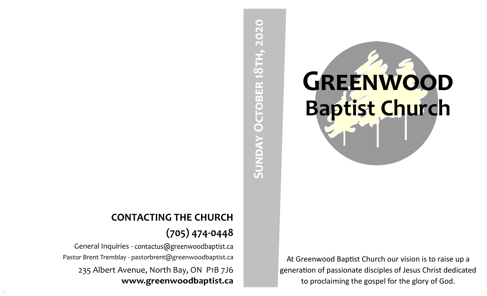# SUNDAY OCTOBER 18TH, 2020 **Sunday October 18th, 2020**

At Greenwood Baptist Church our vision is to raise up a generation of passionate disciples of Jesus Christ dedicated to proclaiming the gospel for the glory of God.

**GREENWOOD** 

**Baptist Church**

# **CONTACTING THE CHURCH (705) 474-0448**

General Inquiries - contactus@greenwoodbaptist.ca Pastor Brent Tremblay - pastorbrent@greenwoodbaptist.ca 235 Albert Avenue, North Bay, ON P1B 7J6 www.greenwoodbaptist.ca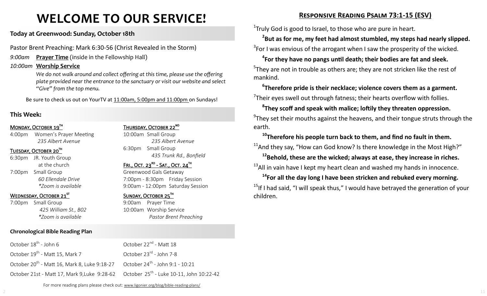# **WELCOME TO OUR SERVICE!**

# **Today at Greenwood: Sunday, October 18th**

Pastor Brent Preaching: Mark 6:30-56 (Christ Revealed in the Storm)

*9:00am* **Prayer Time** (inside in the Fellowship Hall)

# *10:00am* **Worship Service**

We do not walk around and collect offering at this time, please use the offering *plate provided near the entrance to the sanctuary or visit our website and select "Give" from the top menu.*

Be sure to check us out on YourTV at 11:00am, 5:00pm and 11:00pm on Sundays!

# **This Week:**

### MONDAY, OCTOBER 19TH

4:00pm Women's Prayer Meeting *235 Albert Avenue*

### TUESDAY, OCTOBER 20TH

6:30pm JR. Youth Group at the church 7:00pm Small Group *60 Ellendale Drive \*Zoom is available*

### WEDNESDAY, OCTOBER 21<sup>ST</sup>

October 18<sup>th</sup> - John 6

7:00pm Small Group *425 William St., B02 \*Zoom is available* 

### **Chronological Bible Reading Plan**

October 20<sup>th</sup> - Matt 16, Mark 8, Luke 9:18-27 October 21st - Matt 17, Mark 9,Luke 9:28-62

October 19<sup>th</sup> - Matt 15, Mark 7

# THURSDAY, OCTOBER 22<sup>ND</sup>

10:00am Small Group *235 Albert Avenue* 6:30pm Small Group *435 Trunk Rd., Bonfield*

# $FRI.,$  OCT. 23 $^{RD}$  - SAT., OCT. 24 $^{TH}$

Greenwood Gals Getaway 7:00pm - 8:30pm Friday Session 9:00am - 12:00pm Saturday Session

### SUNDAY, OCTOBER 25TH

October 22<sup>nd</sup> - Matt 18

October 23<sup>rd</sup> - John 7-8

October 24<sup>th</sup> - John 9:1 - 10:21

October 25<sup>th</sup> - Luke 10-11, John 10:22-42

9:00am Prayer Time 10:00am Worship Service *Pastor Brent Preaching*

# **Responsive Reading Psalm 73:1-15 (ESV)**

 $1$ Truly God is good to Israel, to those who are pure in heart.

**2 But as for me, my feet had almost stumbled, my steps had nearly slipped.**

 $3$ For I was envious of the arrogant when I saw the prosperity of the wicked.

```
4
For they have no pangs until death; their bodies are fat and sleek.
5They are not in trouble as others are; they are not stricken like the rest of
mankind.
```
**6 Therefore pride is their necklace; violence covers them as a garment.**  $7$ Their eyes swell out through fatness; their hearts overflow with follies.

**8 They scoff and speak with malice; loftily they threaten oppression.**   $^{9}$ They set their mouths against the heavens, and their tongue struts through the earth.

**<sup>10</sup>Therefore his people turn back to them, and find no fault in them.**  $11$ And they say, "How can God know? Is there knowledge in the Most High?"

**<sup>12</sup>Behold, these are the wicked; always at ease, they increase in riches.**  $13$ All in vain have I kept my heart clean and washed my hands in innocence.

**<sup>14</sup>For all the day long I have been stricken and rebuked every morning.** <sup>15</sup>If I had said, "I will speak thus," I would have betrayed the generation of your children.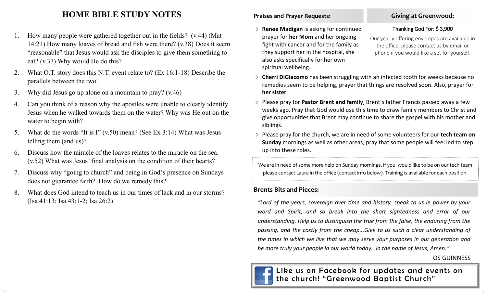# **HOME BIBLE STUDY NOTES**

- 1. How many people were gathered together out in the fields? (v.44) (Mat 14:21) How many loaves of bread and fish were there? (v.38) Does it seem "reasonable" that Jesus would ask the disciples to give them something to eat? (v.37) Why would He do this?
- 2. What O.T. story does this N.T. event relate to? (Ex 16:1-18) Describe the parallels between the two.
- 3. Why did Jesus go up alone on a mountain to pray? (v.46)
- 4. Can you think of a reason why the apostles were unable to clearly identify Jesus when he walked towards them on the water? Why was He out on the water to begin with?
- 5. What do the words "It is I" (v.50) mean? (See Ex 3:14) What was Jesus telling them (and us)?
- 6. Discuss how the miracle of the loaves relates to the miracle on the sea. (v.52) What was Jesus' final analysis on the condition of their hearts?
- 7. Discuss why "going to church" and being in God's presence on Sundays does not guarantee faith? How do we remedy this?
- 8. What does God intend to teach us in our times of lack and in our storms? (Isa 41:13; Isa 43:1-2; Isa 26:2)

# **Praises and Prayer Requests:**

 **Renee Madigan** is asking for continued prayer for **her Mom** and her ongoing fight with cancer and for the family as they support her in the hospital, she also asks specifically for her own spiritual wellbeing.

# **Giving at Greenwood:**

### Thanking God For: \$ 3,900

Our yearly offering envelopes are available in the office, please contact us by email or phone if you would like a set for yourself.

- **Cherri DiGiacomo** has been struggling with an infected tooth for weeks because no remedies seem to be helping, prayer that things are resolved soon. Also, prayer for **her sister**.
- Please pray for **Pastor Brent and family**, Brent's father Francis passed away a few weeks ago. Pray that God would use this time to draw family members to Christ and give opportunities that Brent may continue to share the gospel with his mother and siblings.
- Please pray for the church, we are in need of some volunteers for our **tech team on Sunday** mornings as well as other areas, pray that some people will feel led to step up into these roles.

We are in need of some more help on Sunday mornings, if you would like to be on our tech team please contact Laura in the office (contact info below). Training is available for each position.

# **Brents Bits and Pieces:**

*"Lord of the years, sovereign over time and history, speak to us in power by your word and Spirit, and so break into the short sightedness and error of our understanding. Help us to distinguish the true from the false, the enduring from the passing, and the costly from the cheap...Give to us such a clear understanding of the times in which we live that we may serve your purposes in our generation and be more truly your people in our world today...in the name of Jesus, Amen."* 

# OS GUINNESS

Like us on Facebook for updates and events on the church! "Greenwood Baptist Church"